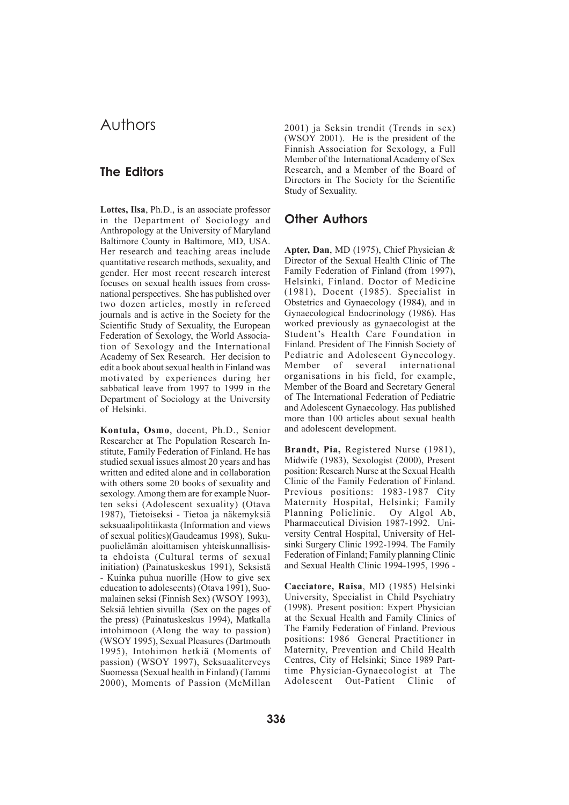## Authors

## **The Editors**

**Lottes, Ilsa**, Ph.D., is an associate professor in the Department of Sociology and Anthropology at the University of Maryland Baltimore County in Baltimore, MD, USA. Her research and teaching areas include quantitative research methods, sexuality, and gender. Her most recent research interest focuses on sexual health issues from crossnational perspectives. She has published over two dozen articles, mostly in refereed journals and is active in the Society for the Scientific Study of Sexuality, the European Federation of Sexology, the World Association of Sexology and the International Academy of Sex Research. Her decision to edit a book about sexual health in Finland was motivated by experiences during her sabbatical leave from 1997 to 1999 in the Department of Sociology at the University of Helsinki.

**Kontula, Osmo**, docent, Ph.D., Senior Researcher at The Population Research Institute, Family Federation of Finland. He has studied sexual issues almost 20 years and has written and edited alone and in collaboration with others some 20 books of sexuality and sexology. Among them are for example Nuorten seksi (Adolescent sexuality) (Otava 1987), Tietoiseksi - Tietoa ja näkemyksiä seksuaalipolitiikasta (Information and views of sexual politics)(Gaudeamus 1998), Sukupuolielämän aloittamisen yhteiskunnallisista ehdoista (Cultural terms of sexual initiation) (Painatuskeskus 1991), Seksistä - Kuinka puhua nuorille (How to give sex education to adolescents) (Otava 1991), Suomalainen seksi (Finnish Sex) (WSOY 1993), Seksiä lehtien sivuilla (Sex on the pages of the press) (Painatuskeskus 1994), Matkalla intohimoon (Along the way to passion) (WSOY 1995), Sexual Pleasures (Dartmouth 1995), Intohimon hetkiä (Moments of passion) (WSOY 1997), Seksuaaliterveys Suomessa (Sexual health in Finland) (Tammi 2000), Moments of Passion (McMillan

2001) ja Seksin trendit (Trends in sex) (WSOY 2001). He is the president of the Finnish Association for Sexology, a Full Member of the International Academy of Sex Research, and a Member of the Board of Directors in The Society for the Scientific Study of Sexuality.

## **Other Authors**

**Apter, Dan**, MD (1975), Chief Physician & Director of the Sexual Health Clinic of The Family Federation of Finland (from 1997), Helsinki, Finland. Doctor of Medicine (1981), Docent (1985). Specialist in Obstetrics and Gynaecology (1984), and in Gynaecological Endocrinology (1986). Has worked previously as gynaecologist at the Student's Health Care Foundation in Finland. President of The Finnish Society of Pediatric and Adolescent Gynecology. Member of several international organisations in his field, for example, Member of the Board and Secretary General of The International Federation of Pediatric and Adolescent Gynaecology. Has published more than 100 articles about sexual health and adolescent development.

**Brandt, Pia,** Registered Nurse (1981), Midwife (1983), Sexologist (2000), Present position: Research Nurse at the Sexual Health Clinic of the Family Federation of Finland. Previous positions: 1983-1987 City Maternity Hospital, Helsinki; Family Planning Policlinic. Oy Algol Ab, Pharmaceutical Division 1987-1992. University Central Hospital, University of Helsinki Surgery Clinic 1992-1994. The Family Federation of Finland; Family planning Clinic and Sexual Health Clinic 1994-1995, 1996 -

**Cacciatore, Raisa**, MD (1985) Helsinki University, Specialist in Child Psychiatry (1998). Present position: Expert Physician at the Sexual Health and Family Clinics of The Family Federation of Finland. Previous positions: 1986 General Practitioner in Maternity, Prevention and Child Health Centres, City of Helsinki; Since 1989 Parttime Physician-Gynaecologist at The Adolescent Out-Patient Clinic of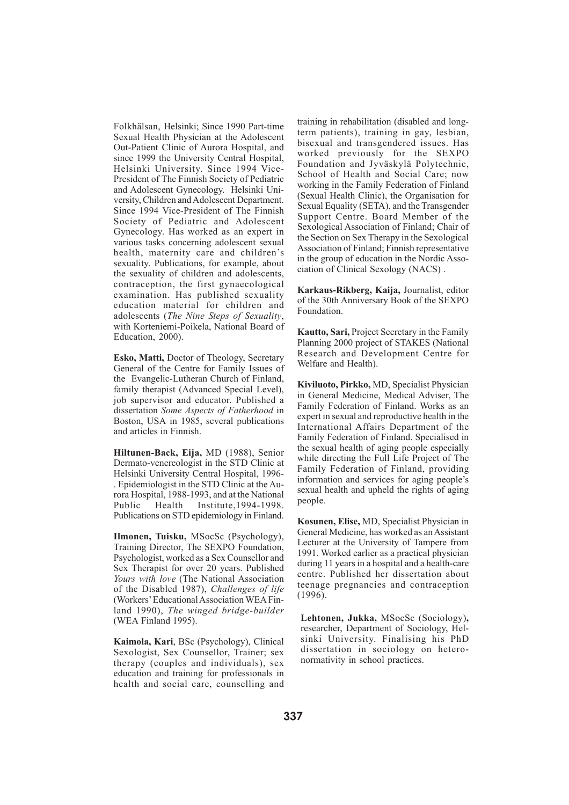Folkhälsan, Helsinki; Since 1990 Part-time Sexual Health Physician at the Adolescent Out-Patient Clinic of Aurora Hospital, and since 1999 the University Central Hospital, Helsinki University. Since 1994 Vice-President of The Finnish Society of Pediatric and Adolescent Gynecology. Helsinki University, Children and Adolescent Department. Since 1994 Vice-President of The Finnish Society of Pediatric and Adolescent Gynecology. Has worked as an expert in various tasks concerning adolescent sexual health, maternity care and children's sexuality. Publications, for example, about the sexuality of children and adolescents, contraception, the first gynaecological examination. Has published sexuality education material for children and adolescents (*The Nine Steps of Sexuality*, with Korteniemi-Poikela, National Board of Education, 2000).

**Esko, Matti,** Doctor of Theology, Secretary General of the Centre for Family Issues of the Evangelic-Lutheran Church of Finland, family therapist (Advanced Special Level), job supervisor and educator. Published a dissertation *Some Aspects of Fatherhood* in Boston, USA in 1985, several publications and articles in Finnish.

**Hiltunen-Back, Eija,** MD (1988), Senior Dermato-venereologist in the STD Clinic at Helsinki University Central Hospital, 1996- . Epidemiologist in the STD Clinic at the Aurora Hospital, 1988-1993, and at the National Public Health Institute,1994-1998. Publications on STD epidemiology in Finland.

**Ilmonen, Tuisku,** MSocSc (Psychology), Training Director, The SEXPO Foundation, Psychologist, worked as a Sex Counsellor and Sex Therapist for over 20 years. Published *Yours with love* (The National Association of the Disabled 1987), *Challenges of life* (Workers' Educational Association WEA Finland 1990), *The winged bridge-builder* (WEA Finland 1995).

**Kaimola, Kari**, BSc (Psychology), Clinical Sexologist, Sex Counsellor, Trainer; sex therapy (couples and individuals), sex education and training for professionals in health and social care, counselling and training in rehabilitation (disabled and longterm patients), training in gay, lesbian, bisexual and transgendered issues. Has worked previously for the SEXPO Foundation and Jyväskylä Polytechnic, School of Health and Social Care; now working in the Family Federation of Finland (Sexual Health Clinic), the Organisation for Sexual Equality (SETA), and the Transgender Support Centre. Board Member of the Sexological Association of Finland; Chair of the Section on Sex Therapy in the Sexological Association of Finland; Finnish representative in the group of education in the Nordic Association of Clinical Sexology (NACS) .

**Karkaus-Rikberg, Kaija,** Journalist, editor of the 30th Anniversary Book of the SEXPO Foundation.

**Kautto, Sari,** Project Secretary in the Family Planning 2000 project of STAKES (National Research and Development Centre for Welfare and Health).

**Kiviluoto, Pirkko,** MD, Specialist Physician in General Medicine, Medical Adviser, The Family Federation of Finland. Works as an expert in sexual and reproductive health in the International Affairs Department of the Family Federation of Finland. Specialised in the sexual health of aging people especially while directing the Full Life Project of The Family Federation of Finland, providing information and services for aging people's sexual health and upheld the rights of aging people.

**Kosunen, Elise,** MD, Specialist Physician in General Medicine, has worked as an Assistant Lecturer at the University of Tampere from 1991. Worked earlier as a practical physician during 11 years in a hospital and a health-care centre. Published her dissertation about teenage pregnancies and contraception (1996).

**Lehtonen, Jukka,** MSocSc (Sociology)**,** researcher, Department of Sociology, Helsinki University. Finalising his PhD dissertation in sociology on heteronormativity in school practices.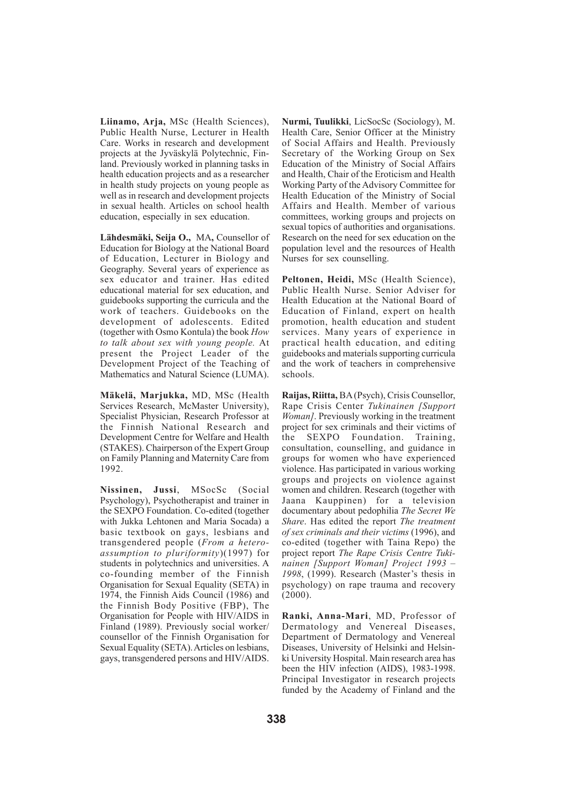**Liinamo, Arja,** MSc (Health Sciences), Public Health Nurse, Lecturer in Health Care. Works in research and development projects at the Jyväskylä Polytechnic, Finland. Previously worked in planning tasks in health education projects and as a researcher in health study projects on young people as well as in research and development projects in sexual health. Articles on school health education, especially in sex education.

**Lähdesmäki, Seija O.,** MA**,** Counsellor of Education for Biology at the National Board of Education, Lecturer in Biology and Geography. Several years of experience as sex educator and trainer. Has edited educational material for sex education, and guidebooks supporting the curricula and the work of teachers. Guidebooks on the development of adolescents. Edited (together with Osmo Kontula) the book *How to talk about sex with young people.* At present the Project Leader of the Development Project of the Teaching of Mathematics and Natural Science (LUMA).

**Mäkelä, Marjukka,** MD, MSc (Health Services Research, McMaster University), Specialist Physician, Research Professor at the Finnish National Research and Development Centre for Welfare and Health (STAKES). Chairperson of the Expert Group on Family Planning and Maternity Care from 1992.

**Nissinen, Jussi**, MSocSc (Social Psychology), Psychotherapist and trainer in the SEXPO Foundation. Co-edited (together with Jukka Lehtonen and Maria Socada) a basic textbook on gays, lesbians and transgendered people (*From a heteroassumption to pluriformity*)(1997) for students in polytechnics and universities. A co-founding member of the Finnish Organisation for Sexual Equality (SETA) in 1974, the Finnish Aids Council (1986) and the Finnish Body Positive (FBP), The Organisation for People with HIV/AIDS in Finland (1989). Previously social worker/ counsellor of the Finnish Organisation for Sexual Equality (SETA). Articles on lesbians, gays, transgendered persons and HIV/AIDS.

**Nurmi, Tuulikki**, LicSocSc (Sociology), M. Health Care, Senior Officer at the Ministry of Social Affairs and Health. Previously Secretary of the Working Group on Sex Education of the Ministry of Social Affairs and Health, Chair of the Eroticism and Health Working Party of the Advisory Committee for Health Education of the Ministry of Social Affairs and Health. Member of various committees, working groups and projects on sexual topics of authorities and organisations. Research on the need for sex education on the population level and the resources of Health Nurses for sex counselling.

**Peltonen, Heidi,** MSc (Health Science), Public Health Nurse. Senior Adviser for Health Education at the National Board of Education of Finland, expert on health promotion, health education and student services. Many years of experience in practical health education, and editing guidebooks and materials supporting curricula and the work of teachers in comprehensive schools.

**Raijas, Riitta,** BA (Psych), Crisis Counsellor, Rape Crisis Center *Tukinainen [Support Woman]*. Previously working in the treatment project for sex criminals and their victims of the SEXPO Foundation. Training, consultation, counselling, and guidance in groups for women who have experienced violence. Has participated in various working groups and projects on violence against women and children. Research (together with Jaana Kauppinen) for a television documentary about pedophilia *The Secret We Share*. Has edited the report *The treatment of sex criminals and their victims* (1996), and co-edited (together with Taina Repo) the project report *The Rape Crisis Centre Tukinainen [Support Woman] Project 1993 – 1998*, (1999). Research (Master's thesis in psychology) on rape trauma and recovery (2000).

**Ranki, Anna-Mari**, MD, Professor of Dermatology and Venereal Diseases, Department of Dermatology and Venereal Diseases, University of Helsinki and Helsinki University Hospital. Main research area has been the HIV infection (AIDS), 1983-1998. Principal Investigator in research projects funded by the Academy of Finland and the